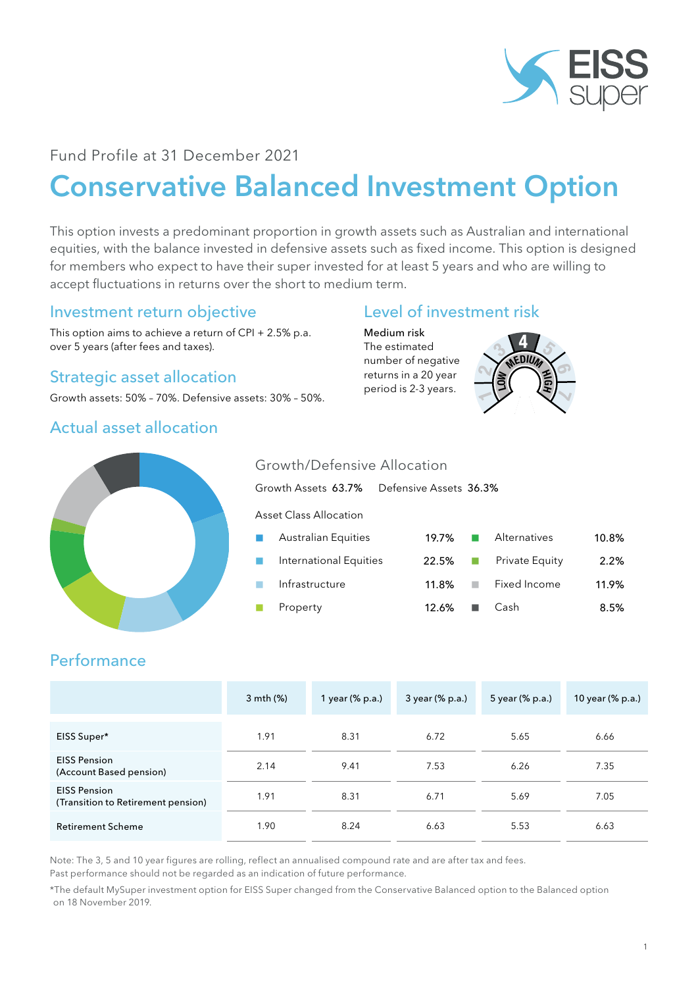

# Fund Profile at 31 December 2021

# Conservative Balanced Investment Option

This option invests a predominant proportion in growth assets such as Australian and international equities, with the balance invested in defensive assets such as fixed income. This option is designed for members who expect to have their super invested for at least 5 years and who are willing to accept fluctuations in returns over the short to medium term.

## Investment return objective

This option aims to achieve a return of CPI + 2.5% p.a. over 5 years (after fees and taxes).

# Strategic asset allocation

Growth assets: 50% – 70%. Defensive assets: 30% – 50%.

### Actual asset allocation

# Level of investment risk

Medium risk The estimated number of negative returns in a 20 year period is 2-3 years.





#### Growth/Defensive Allocation

Growth Assets 63.7% Defensive Assets 36.3% Asset Class Allocation Australian Equities 19.7% ■ Alternatives 10.8% n International Equities 22.5% n Private Equity 2.2%

| international Equities |                              | $22.5\%$ $\Box$ Private Equity | $2.2\%$ |
|------------------------|------------------------------|--------------------------------|---------|
| Infrastructure         |                              | 11.8% ■ Fixed Income           | 11.9%   |
| Property               | $12.6\%$ $\blacksquare$ Cash |                                | 8.5%    |

# **Performance**

|                                                           | 3 mth (%) | 1 year (% p.a.) | 3 year (% p.a.) | 5 year (% p.a.) | 10 year (% p.a.) |
|-----------------------------------------------------------|-----------|-----------------|-----------------|-----------------|------------------|
| EISS Super*                                               | 1.91      | 8.31            | 6.72            | 5.65            | 6.66             |
| <b>EISS Pension</b><br>(Account Based pension)            | 2.14      | 9.41            | 7.53            | 6.26            | 7.35             |
| <b>EISS Pension</b><br>(Transition to Retirement pension) | 1.91      | 8.31            | 6.71            | 5.69            | 7.05             |
| <b>Retirement Scheme</b>                                  | 1.90      | 8.24            | 6.63            | 5.53            | 6.63             |

Note: The 3, 5 and 10 year figures are rolling, reflect an annualised compound rate and are after tax and fees.

Past performance should not be regarded as an indication of future performance.

\*The default MySuper investment option for EISS Super changed from the Conservative Balanced option to the Balanced option on 18 November 2019.